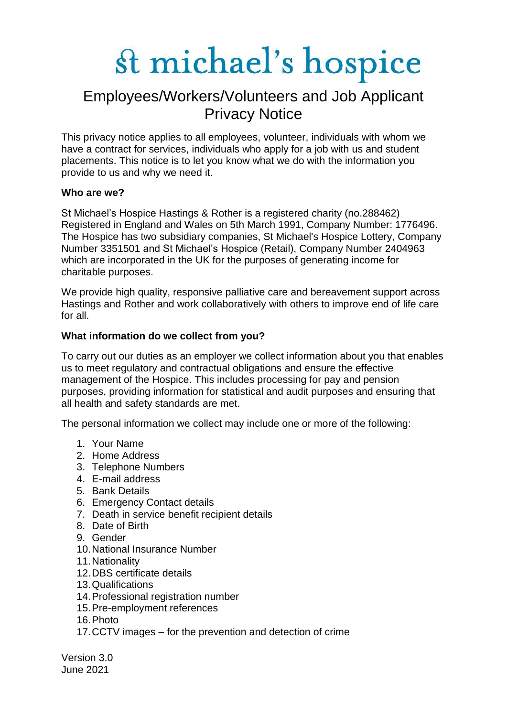### Employees/Workers/Volunteers and Job Applicant Privacy Notice

This privacy notice applies to all employees, volunteer, individuals with whom we have a contract for services, individuals who apply for a job with us and student placements. This notice is to let you know what we do with the information you provide to us and why we need it.

#### **Who are we?**

St Michael's Hospice Hastings & Rother is a registered charity (no.288462) Registered in England and Wales on 5th March 1991, Company Number: 1776496. The Hospice has two subsidiary companies, St Michael's Hospice Lottery, Company Number 3351501 and St Michael's Hospice (Retail), Company Number 2404963 which are incorporated in the UK for the purposes of generating income for charitable purposes.

We provide high quality, responsive palliative care and bereavement support across Hastings and Rother and work collaboratively with others to improve end of life care for all.

#### **What information do we collect from you?**

To carry out our duties as an employer we collect information about you that enables us to meet regulatory and contractual obligations and ensure the effective management of the Hospice. This includes processing for pay and pension purposes, providing information for statistical and audit purposes and ensuring that all health and safety standards are met.

The personal information we collect may include one or more of the following:

- 1. Your Name
- 2. Home Address
- 3. Telephone Numbers
- 4. E-mail address
- 5. Bank Details
- 6. Emergency Contact details
- 7. Death in service benefit recipient details
- 8. Date of Birth
- 9. Gender
- 10.National Insurance Number
- 11.Nationality
- 12.DBS certificate details
- 13.Qualifications
- 14.Professional registration number
- 15.Pre-employment references
- 16.Photo
- 17.CCTV images for the prevention and detection of crime

Version 3.0 June 2021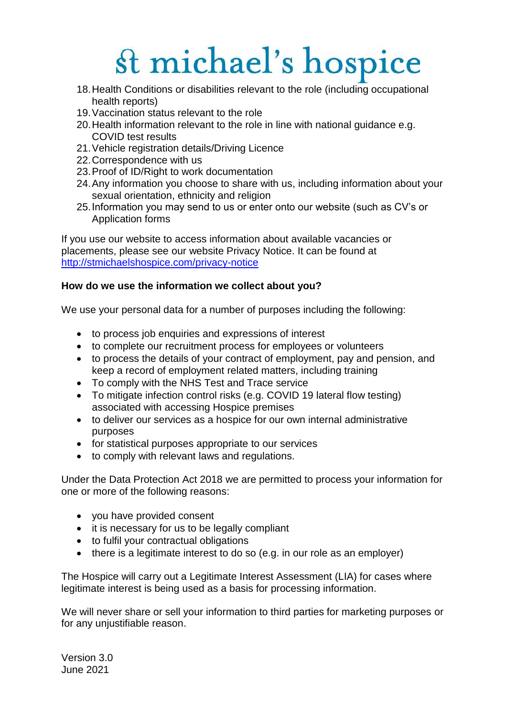- 18.Health Conditions or disabilities relevant to the role (including occupational health reports)
- 19.Vaccination status relevant to the role
- 20.Health information relevant to the role in line with national guidance e.g. COVID test results
- 21.Vehicle registration details/Driving Licence
- 22.Correspondence with us
- 23.Proof of ID/Right to work documentation
- 24.Any information you choose to share with us, including information about your sexual orientation, ethnicity and religion
- 25.Information you may send to us or enter onto our website (such as CV's or Application forms

If you use our website to access information about available vacancies or placements, please see our website Privacy Notice. It can be found at <http://stmichaelshospice.com/privacy-notice>

#### **How do we use the information we collect about you?**

We use your personal data for a number of purposes including the following:

- to process job enquiries and expressions of interest
- to complete our recruitment process for employees or volunteers
- to process the details of your contract of employment, pay and pension, and keep a record of employment related matters, including training
- To comply with the NHS Test and Trace service
- To mitigate infection control risks (e.g. COVID 19 lateral flow testing) associated with accessing Hospice premises
- to deliver our services as a hospice for our own internal administrative purposes
- for statistical purposes appropriate to our services
- to comply with relevant laws and regulations.

Under the Data Protection Act 2018 we are permitted to process your information for one or more of the following reasons:

- you have provided consent
- it is necessary for us to be legally compliant
- to fulfil your contractual obligations
- there is a legitimate interest to do so (e.g. in our role as an employer)

The Hospice will carry out a Legitimate Interest Assessment (LIA) for cases where legitimate interest is being used as a basis for processing information.

We will never share or sell your information to third parties for marketing purposes or for any unjustifiable reason.

Version 3.0 June 2021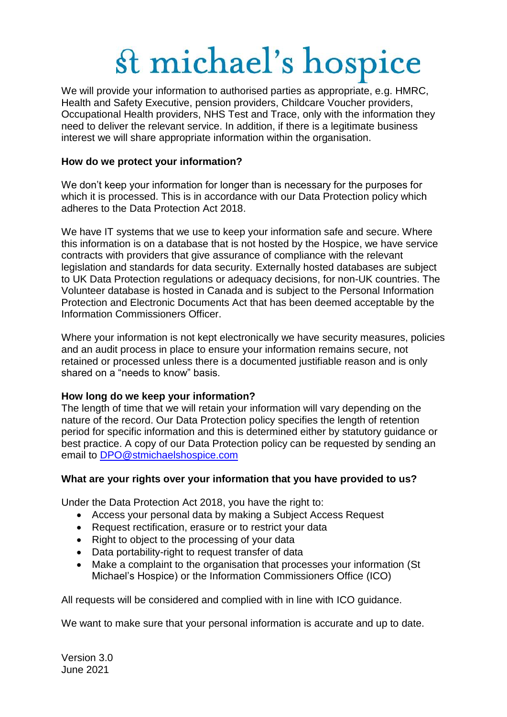We will provide your information to authorised parties as appropriate, e.g. HMRC, Health and Safety Executive, pension providers, Childcare Voucher providers, Occupational Health providers, NHS Test and Trace, only with the information they need to deliver the relevant service. In addition, if there is a legitimate business interest we will share appropriate information within the organisation.

#### **How do we protect your information?**

We don't keep your information for longer than is necessary for the purposes for which it is processed. This is in accordance with our Data Protection policy which adheres to the Data Protection Act 2018.

We have IT systems that we use to keep your information safe and secure. Where this information is on a database that is not hosted by the Hospice, we have service contracts with providers that give assurance of compliance with the relevant legislation and standards for data security. Externally hosted databases are subject to UK Data Protection regulations or adequacy decisions, for non-UK countries. The Volunteer database is hosted in Canada and is subject to the Personal Information Protection and Electronic Documents Act that has been deemed acceptable by the Information Commissioners Officer.

Where your information is not kept electronically we have security measures, policies and an audit process in place to ensure your information remains secure, not retained or processed unless there is a documented justifiable reason and is only shared on a "needs to know" basis.

#### **How long do we keep your information?**

The length of time that we will retain your information will vary depending on the nature of the record. Our Data Protection policy specifies the length of retention period for specific information and this is determined either by statutory guidance or best practice. A copy of our Data Protection policy can be requested by sending an email to [DPO@stmichaelshospice.com](mailto:DPO@stmichaelshospice.com)

#### **What are your rights over your information that you have provided to us?**

Under the Data Protection Act 2018, you have the right to:

- Access your personal data by making a Subject Access Request
- Request rectification, erasure or to restrict your data
- Right to object to the processing of your data
- Data portability-right to request transfer of data
- Make a complaint to the organisation that processes your information (St Michael's Hospice) or the Information Commissioners Office (ICO)

All requests will be considered and complied with in line with ICO guidance.

We want to make sure that your personal information is accurate and up to date.

Version 3.0 June 2021